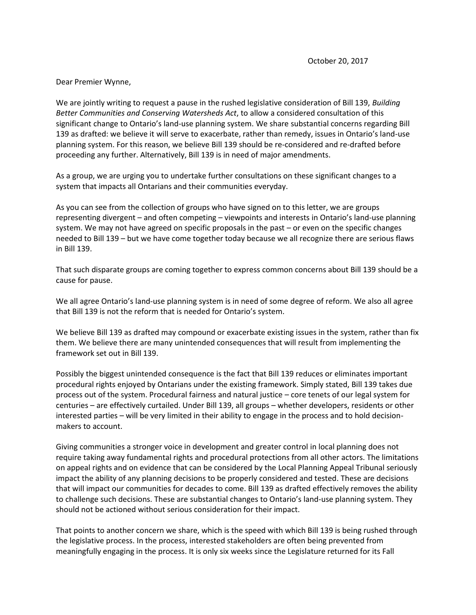Dear Premier Wynne,

We are jointly writing to request a pause in the rushed legislative consideration of Bill 139, *Building Better Communities and Conserving Watersheds Act*, to allow a considered consultation of this significant change to Ontario's land-use planning system. We share substantial concerns regarding Bill 139 as drafted: we believe it will serve to exacerbate, rather than remedy, issues in Ontario's land-use planning system. For this reason, we believe Bill 139 should be re-considered and re-drafted before proceeding any further. Alternatively, Bill 139 is in need of major amendments.

As a group, we are urging you to undertake further consultations on these significant changes to a system that impacts all Ontarians and their communities everyday.

As you can see from the collection of groups who have signed on to this letter, we are groups representing divergent – and often competing – viewpoints and interests in Ontario's land-use planning system. We may not have agreed on specific proposals in the past – or even on the specific changes needed to Bill 139 – but we have come together today because we all recognize there are serious flaws in Bill 139.

That such disparate groups are coming together to express common concerns about Bill 139 should be a cause for pause.

We all agree Ontario's land-use planning system is in need of some degree of reform. We also all agree that Bill 139 is not the reform that is needed for Ontario's system.

We believe Bill 139 as drafted may compound or exacerbate existing issues in the system, rather than fix them. We believe there are many unintended consequences that will result from implementing the framework set out in Bill 139.

Possibly the biggest unintended consequence is the fact that Bill 139 reduces or eliminates important procedural rights enjoyed by Ontarians under the existing framework. Simply stated, Bill 139 takes due process out of the system. Procedural fairness and natural justice – core tenets of our legal system for centuries – are effectively curtailed. Under Bill 139, all groups – whether developers, residents or other interested parties – will be very limited in their ability to engage in the process and to hold decisionmakers to account.

Giving communities a stronger voice in development and greater control in local planning does not require taking away fundamental rights and procedural protections from all other actors. The limitations on appeal rights and on evidence that can be considered by the Local Planning Appeal Tribunal seriously impact the ability of any planning decisions to be properly considered and tested. These are decisions that will impact our communities for decades to come. Bill 139 as drafted effectively removes the ability to challenge such decisions. These are substantial changes to Ontario's land-use planning system. They should not be actioned without serious consideration for their impact.

That points to another concern we share, which is the speed with which Bill 139 is being rushed through the legislative process. In the process, interested stakeholders are often being prevented from meaningfully engaging in the process. It is only six weeks since the Legislature returned for its Fall